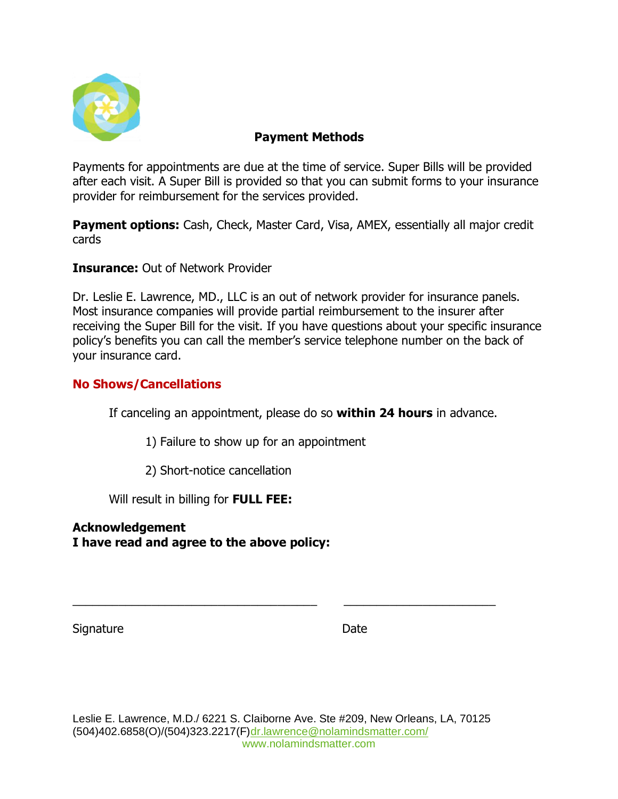

## **Payment Methods**

Payments for appointments are due at the time of service. Super Bills will be provided after each visit. A Super Bill is provided so that you can submit forms to your insurance provider for reimbursement for the services provided.

**Payment options:** Cash, Check, Master Card, Visa, AMEX, essentially all major credit cards

**Insurance:** Out of Network Provider

Dr. Leslie E. Lawrence, MD., LLC is an out of network provider for insurance panels. Most insurance companies will provide partial reimbursement to the insurer after receiving the Super Bill for the visit. If you have questions about your specific insurance policy's benefits you can call the member's service telephone number on the back of your insurance card.

## **No Shows/Cancellations**

If canceling an appointment, please do so **within 24 hours** in advance.

1) Failure to show up for an appointment

2) Short-notice cancellation

Will result in billing for **FULL FEE:**

**Acknowledgement I have read and agree to the above policy:** 

Signature Date Date

\_\_\_\_\_\_\_\_\_\_\_\_\_\_\_\_\_\_\_\_\_\_\_\_\_\_\_\_\_\_\_\_\_\_\_\_\_ \_\_\_\_\_\_\_\_\_\_\_\_\_\_\_\_\_\_\_\_\_\_\_